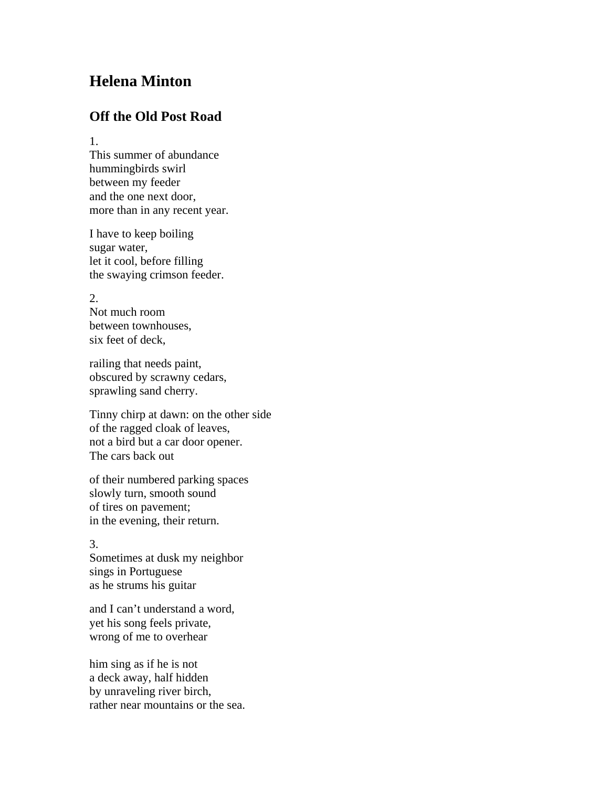## **Helena Minton**

## **Off the Old Post Road**

1.

This summer of abundance hummingbirds swirl between my feeder and the one next door, more than in any recent year.

I have to keep boiling sugar water, let it cool, before filling the swaying crimson feeder.

2.

Not much room between townhouses, six feet of deck,

railing that needs paint, obscured by scrawny cedars, sprawling sand cherry.

Tinny chirp at dawn: on the other side of the ragged cloak of leaves, not a bird but a car door opener. The cars back out

of their numbered parking spaces slowly turn, smooth sound of tires on pavement; in the evening, their return.

## 3.

Sometimes at dusk my neighbor sings in Portuguese as he strums his guitar

and I can't understand a word, yet his song feels private, wrong of me to overhear

him sing as if he is not a deck away, half hidden by unraveling river birch, rather near mountains or the sea.